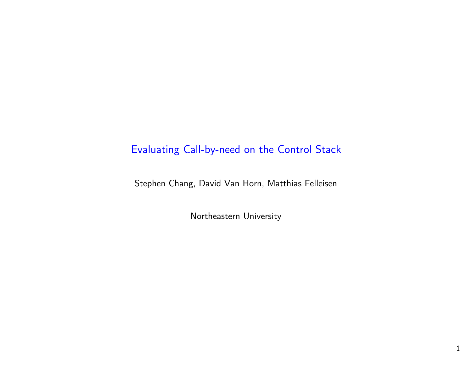#### Evaluating Call-by-need on the Control Stack

Stephen Chang, David Van Horn, Matthias Felleisen

Northeastern University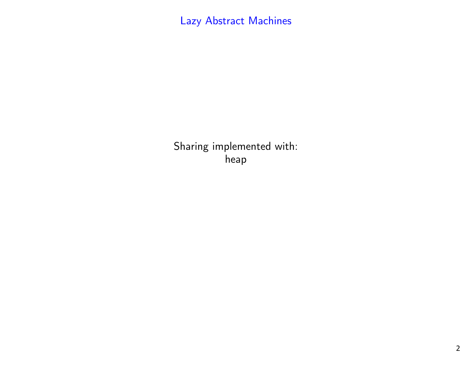# Lazy Abstract Machines

Sharing implemented with:heap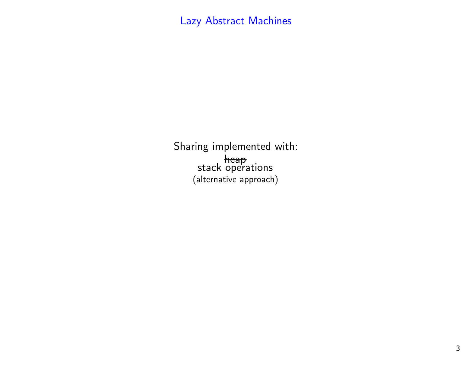Sharing implemented with:heap stack operations(alternative approach)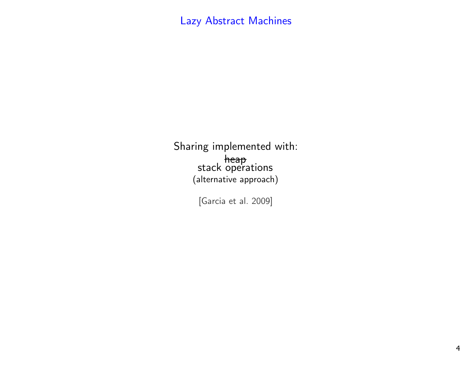Sharing implemented with:heap stack operations(alternative approach)

[Garcia et al. 2009]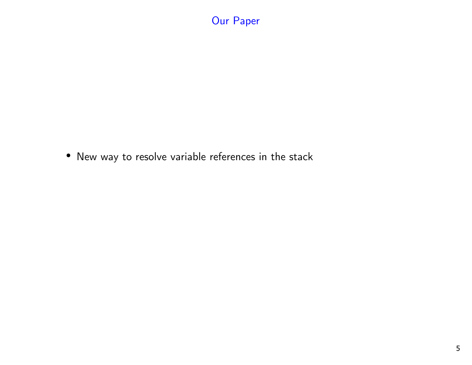# Our Paper

• New way to resolve variable references in the stack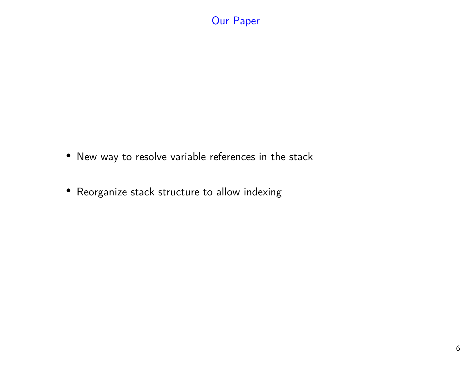#### Our Paper

- New way to resolve variable references in the stack
- Reorganize stack structure to allow indexing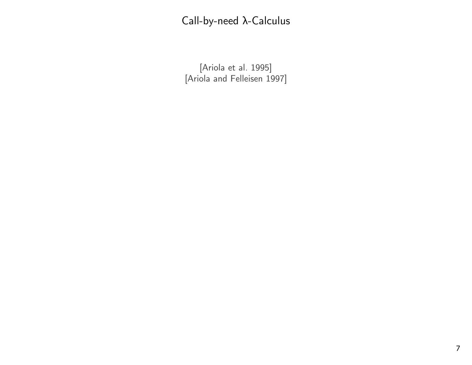[Ariola et al. 1995] [Ariola and Felleisen 1997]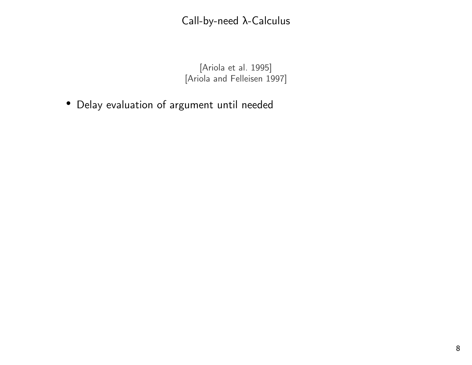[Ariola et al. 1995][Ariola and Felleisen 1997]

• Delay evaluation of argument until needed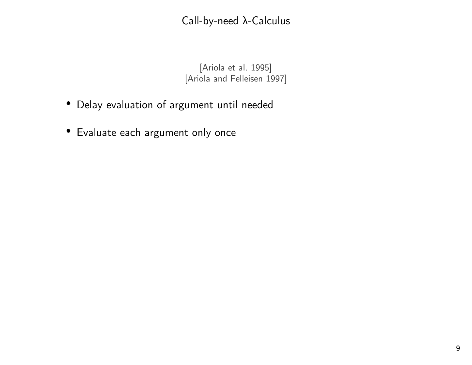[Ariola et al. 1995][Ariola and Felleisen 1997]

- Delay evaluation of argument until needed
- Evaluate each argument only once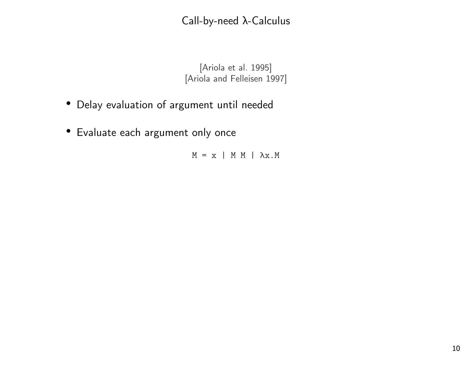[Ariola et al. 1995][Ariola and Felleisen 1997]

- Delay evaluation of argument until needed
- Evaluate each argument only once

 $M = x$  | M M |  $\lambda x.M$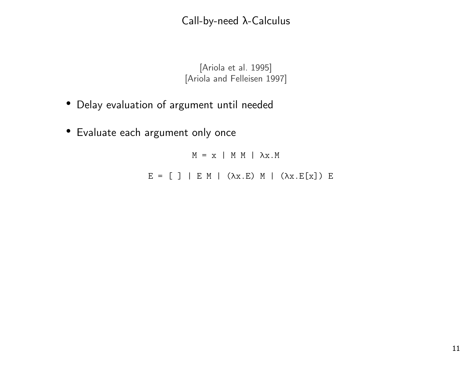[Ariola et al. 1995][Ariola and Felleisen 1997]

- Delay evaluation of argument until needed
- Evaluate each argument only once

 $M = x$  | M M |  $\lambda x.M$  $E = [ ] | E M | ( \lambda x . E ) M | ( \lambda x . E [x] ) E$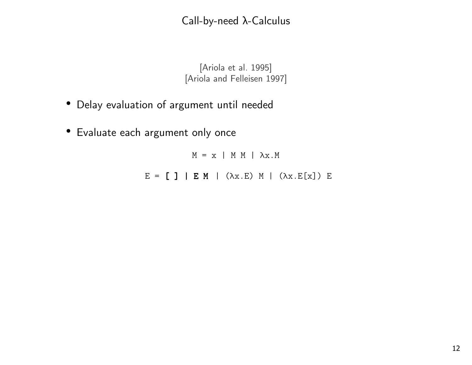[Ariola et al. 1995][Ariola and Felleisen 1997]

- Delay evaluation of argument until needed
- Evaluate each argument only once

 $M = x$  | M M |  $\lambda x.M$  $E = [$  ] | E M | ( $\lambda$ x.E) M | ( $\lambda$ x.E[x]) E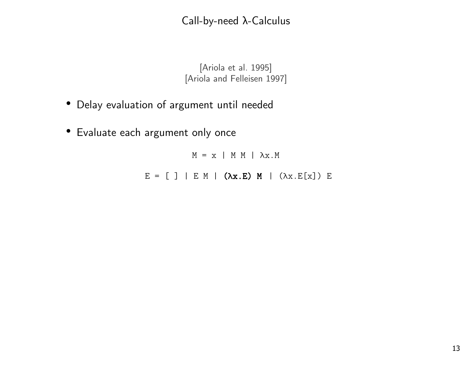[Ariola et al. 1995][Ariola and Felleisen 1997]

- Delay evaluation of argument until needed
- Evaluate each argument only once

 $M = x$  | M M |  $\lambda x.M$  $E = [ ] \mid E \text{ M} \mid (\lambda \mathbf{x} . \mathbf{E}) \text{ M} \mid (\lambda \mathbf{x} . \mathbf{E}[\mathbf{x}]) \text{ E}$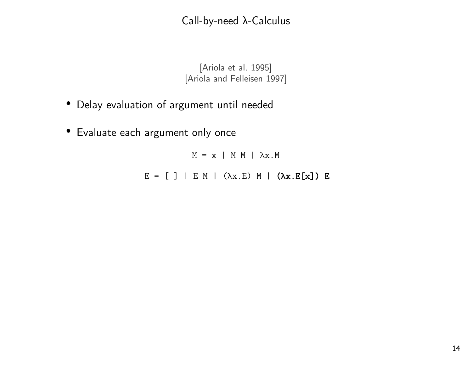[Ariola et al. 1995][Ariola and Felleisen 1997]

- Delay evaluation of argument until needed
- Evaluate each argument only once

 $M = x$  | M M |  $\lambda x.M$  $E = [ ] \mid E \text{ M} \mid (\lambda x.E) \text{ M} \mid (\lambda x.E[x]) E$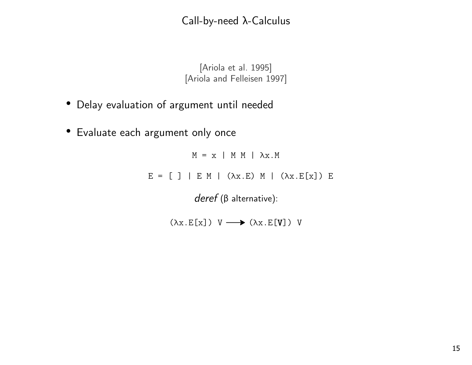[Ariola et al. 1995][Ariola and Felleisen 1997]

- Delay evaluation of argument until needed
- Evaluate each argument only once

 $M = x$  | M M |  $\lambda x.M$  $E = [ ] | E M | ( \lambda x . E ) M | ( \lambda x . E [x] ) E$ deref (β alternative):

 $(\lambda x. E[x])$  V  $\longrightarrow (\lambda x. E[V])$  V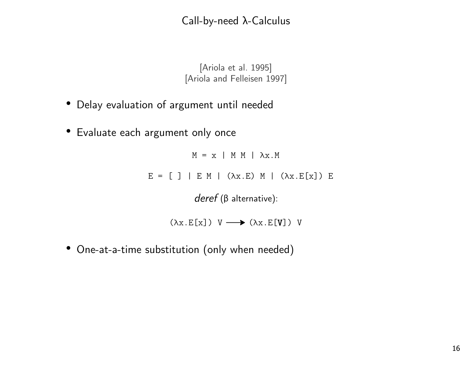[Ariola et al. 1995][Ariola and Felleisen 1997]

- Delay evaluation of argument until needed
- Evaluate each argument only once

 $M = x$  | M M |  $\lambda x.M$  $E = [ ] | E M | ( \lambda x . E ) M | ( \lambda x . E [x] ) E$ deref (β alternative):

 $(\lambda x. E[x])$  V  $\longrightarrow (\lambda x. E[V])$  V

• One-at-a-time substitution (only when needed)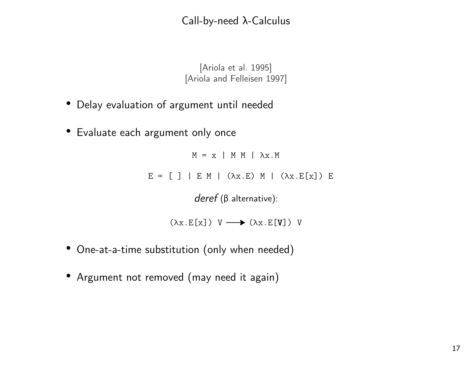[Ariola et al. 1995][Ariola and Felleisen 1997]

- Delay evaluation of argument until needed
- Evaluate each argument only once

 $M = x$  | M M |  $\lambda x.M$  $E = [ ] | E M | ( \lambda x . E ) M | ( \lambda x . E [x] ) E$ 

deref (β alternative):

 $(\lambda x. E[x])$  V  $\longrightarrow (\lambda x. E[V])$  V

- One-at-a-time substitution (only when needed)
- Argument not removed (may need it again)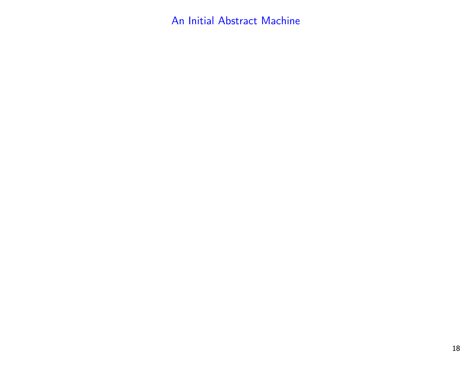An Initial Abstract Machine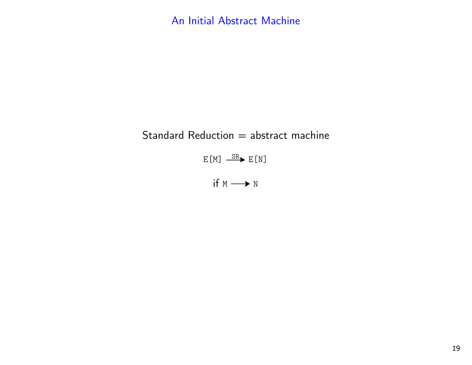An Initial Abstract Machine

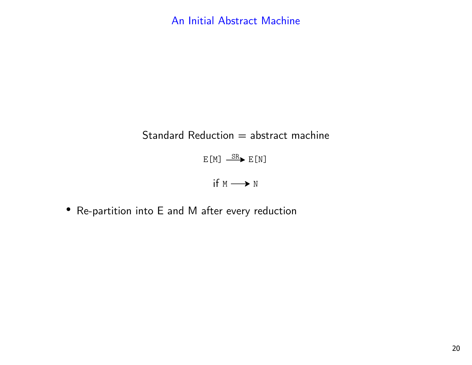# Standard Reduction  $=$  abstract machine

 $E[M] \xrightarrow{SR} E[N]$ 

if  $M \longrightarrow N$ 

• Re-partition into E and M after every reduction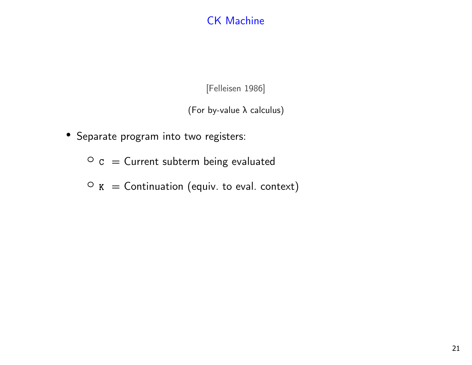## CK Machine

[Felleisen 1986]

(For by-value λ calculus)

• Separate program into two registers:

 $\circ$  c = Current subterm being evaluated

 $\circ$  K = Continuation (equiv. to eval. context)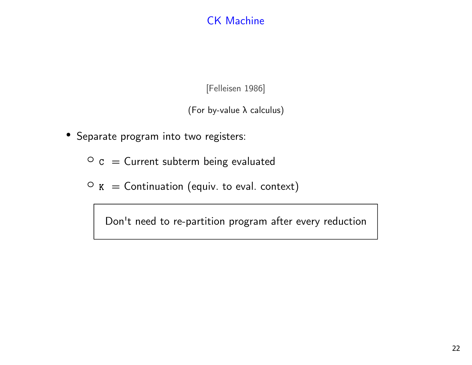## CK Machine

[Felleisen 1986]

(For by-value λ calculus)

- Separate program into two registers:
	- $\circ$  c = Current subterm being evaluated
	- $\circ$  K = Continuation (equiv. to eval. context)

Don't need to re-partition program after every reduction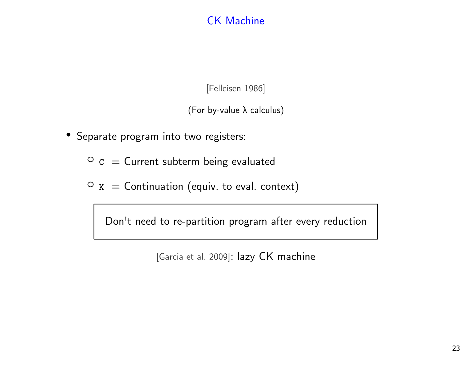## CK Machine

[Felleisen 1986]

(For by-value λ calculus)

- Separate program into two registers:
	- $\circ$  c = Current subterm being evaluated
	- $\circ$  K = Continuation (equiv. to eval. context)

Don't need to re-partition program after every reduction

[Garcia et al. 2009]: lazy CK machine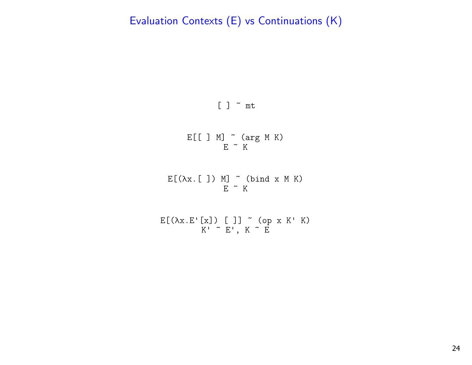

E[[ ] M] ~ (arg M K) E ~ K

E[(λx.[ ]) M] ~ (bind x M K) E ~ K

$$
E[(\lambda x.E'[x]) []] \sim (op x K' K)
$$
  

$$
K' \sim E', K \sim E
$$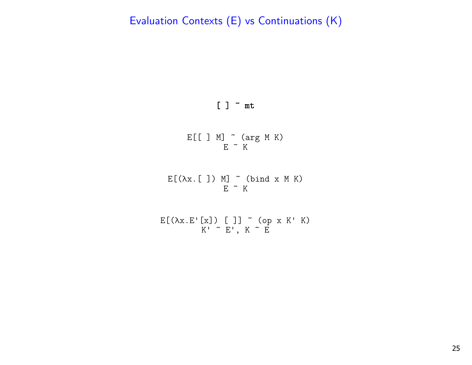#### [ ] ~ mt

E[[ ] M] ~ (arg M K) E ~ K

E[(λx.[ ]) M] ~ (bind x M K) E ~ K

$$
E[(\lambda x.E'[x]) []] \tilde{ } (op x K' K)
$$
  

$$
K' \tilde{ } E', K \tilde{ } E
$$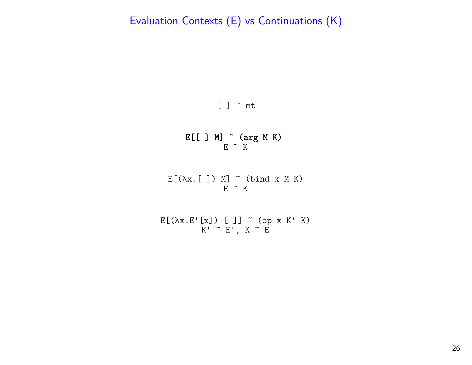

E[[ ] M] ~ (arg M K) E ~ K

 $E[(\lambda x. [ ] ) M]$   $\sim$  (bind x M K)  $E$   $\sim$  K

E[(λx.E'[x]) [ ]] ~ (op x K' K) K' ~ E', K ~ E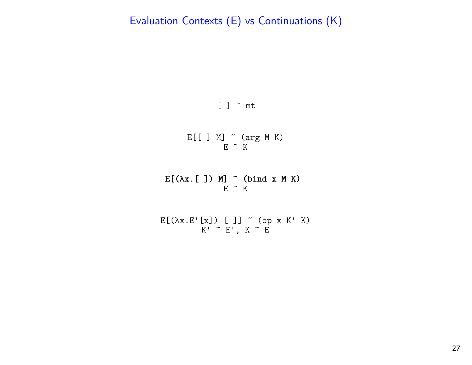

$$
\begin{array}{c}\nE[[\ ]\ M]\n\end{array}\n\begin{array}{c}\n\sim\ (arg M K) \\
E\end{array}
$$

E[(λx.[ ]) M] ~ (bind x M K) E ~ K

$$
E[(\lambda x.E'[x]) []] \tilde{g} (op x K' K)
$$
  

$$
K' \tilde{g} E', K \tilde{g} E
$$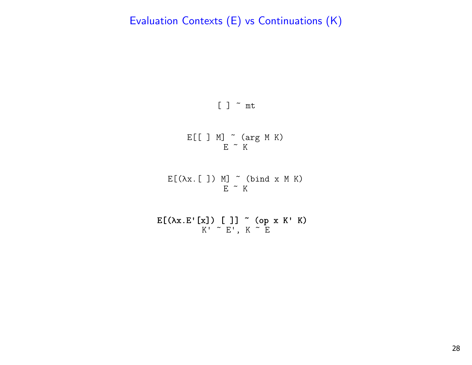

E[[ ] M] ~ (arg M K) E ~ K

 $E[(\lambda x. []) M] \sim (bind x M K)$  $E$   $\sim$  K

E[(λx.Ε'[x]) [ ]] ~ (op x K' K)<br>K' ~ E', K ~ E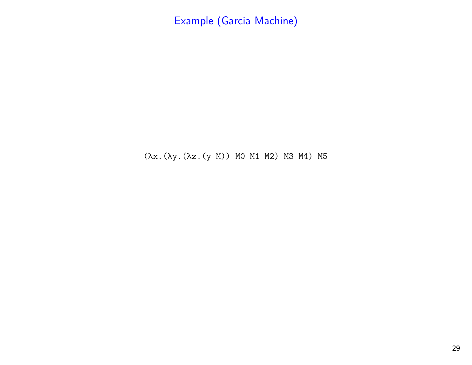(λx.(λy.(λz.(y M)) M0 M1 M2) M3 M4) M5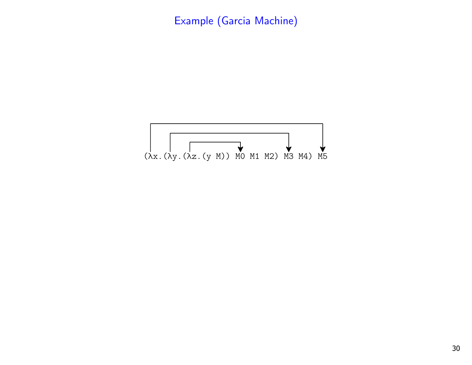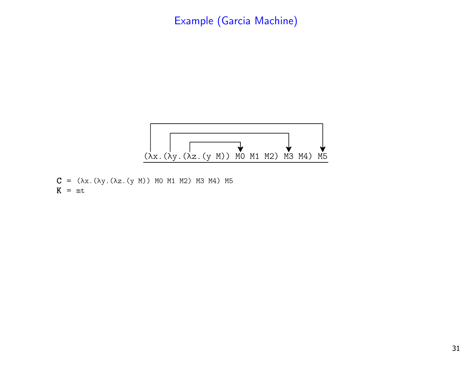

 $C = (λx. (λy. (λz. (y M)) M0 M1 M2) M3 M4) M5$  $K = mt$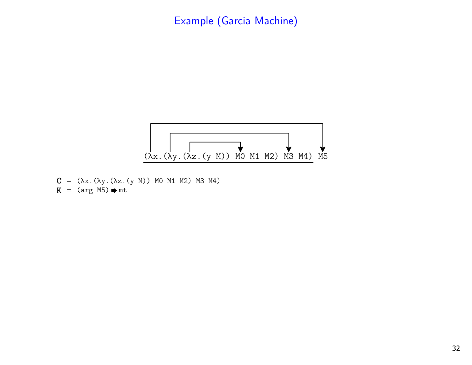

 $C = (λx. (λy. (λz. (y M)) M0 M1 M2) M3 M4)$  $K = (arg M5) \Rightarrow mt$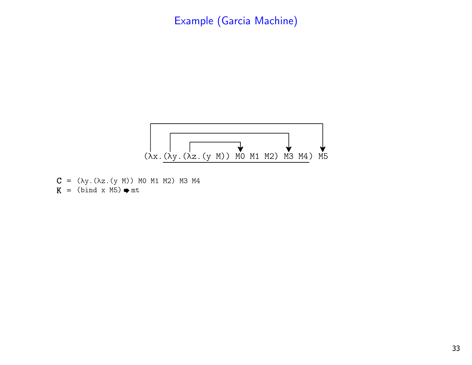

 $C = (λy. (λz. (y M)) M0 M1 M2) M3 M4$  $K = (bind x M5) \rightarrow mt$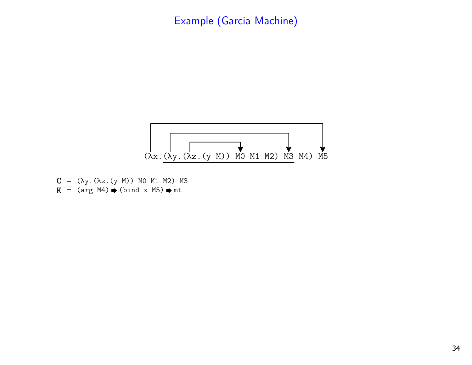

 $C = (λy. (λz. (y M)) M0 M1 M2) M3$  $K = (arg M4) \rightarrow (bind x M5) \rightarrow mt$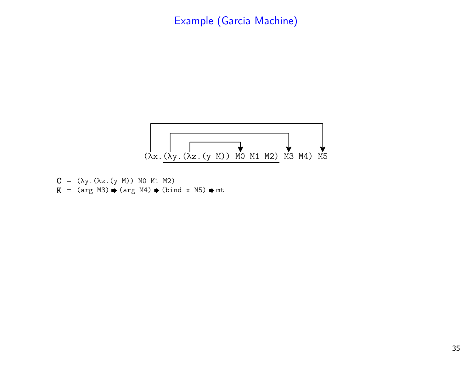

$$
C = (\lambda y. (\lambda z. (y M)) M0 M1 M2)
$$
  
K = (arg M3)  $\Rightarrow$  (arg M4)  $\Rightarrow$  (bind x M5)  $\Rightarrow$  mt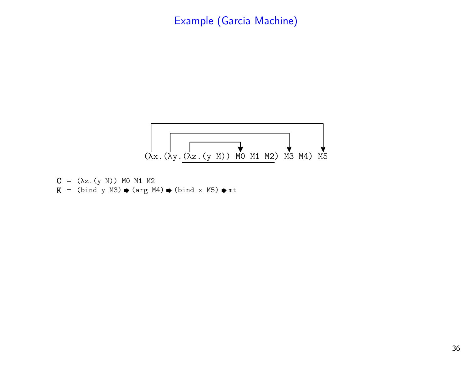

$$
C = (\lambda z. (y M)) MO M1 M2
$$
  
K = (bind y M3)  $\rightarrow$  (arg M4)  $\rightarrow$  (bind x M5)  $\rightarrow$  mt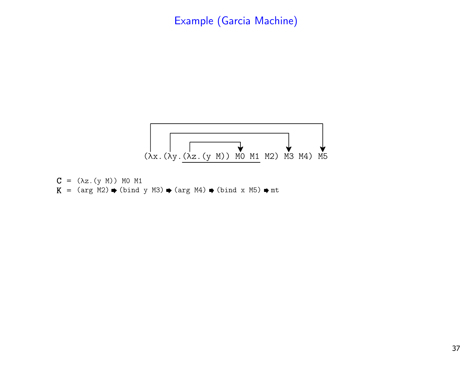

$$
C = (\lambda z. (y M)) MO M1
$$
  
K = (arg M2)  $\Rightarrow$  (bind y M3)  $\Rightarrow$  (arg M4)  $\Rightarrow$  (bind x M5)  $\Rightarrow$  mt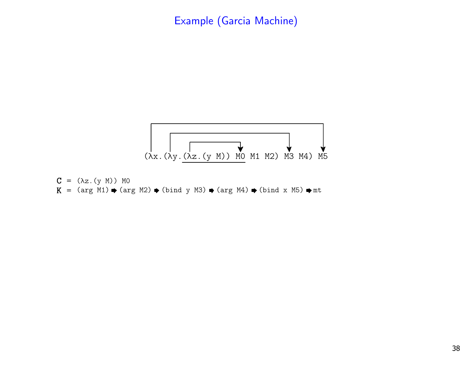

$$
C = (\lambda z. (y M)) MO
$$
  
K = (arg M1)  $\bullet$  (arg M2)  $\bullet$  (bind y M3)  $\bullet$  (arg M4)  $\bullet$  (bind x M5)  $\bullet$  mt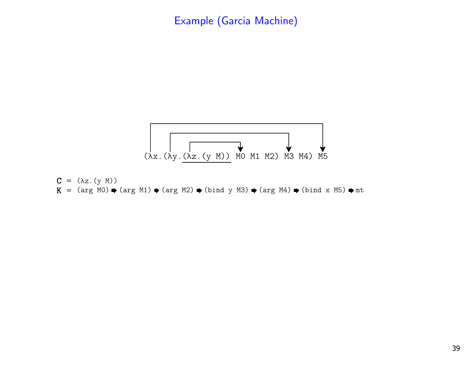

$$
C = (\lambda z. (y M))
$$
  
K = (arg MO)  $\bullet$  (arg M1)  $\bullet$  (arg M2)  $\bullet$  (bind y M3)  $\bullet$  (arg M4)  $\bullet$  (bind x M5)  $\bullet$  mt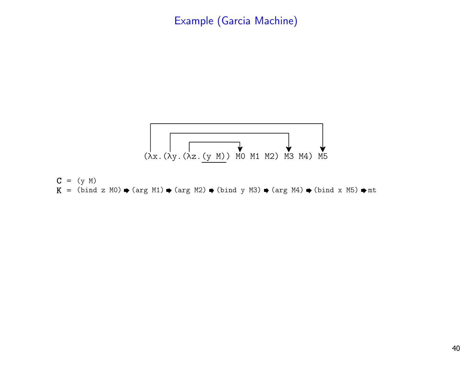

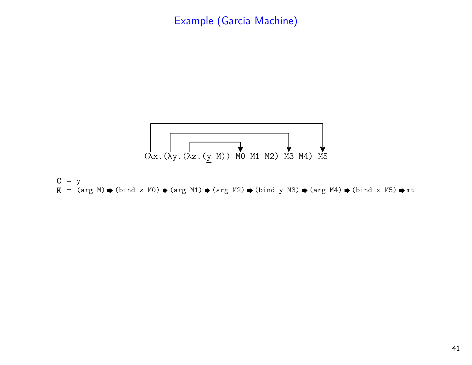

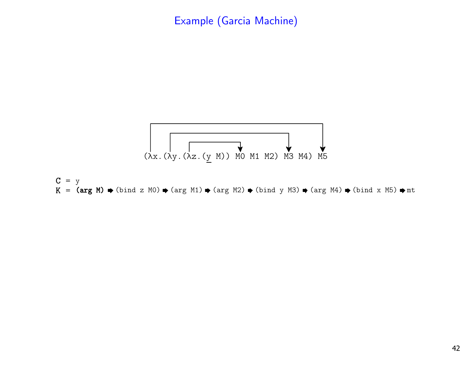

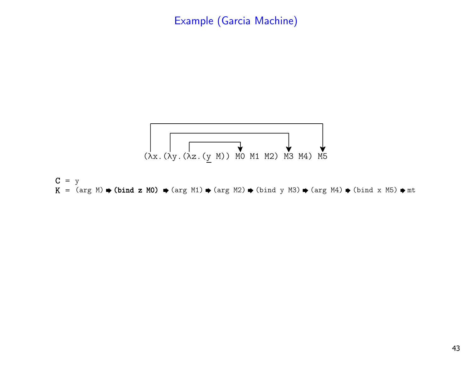

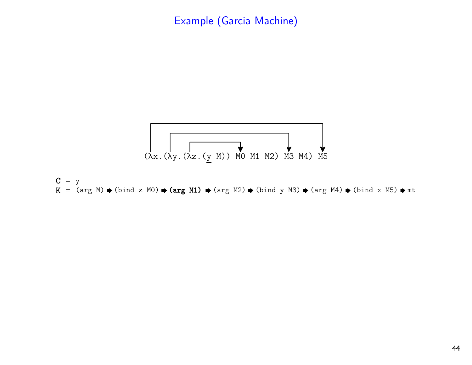

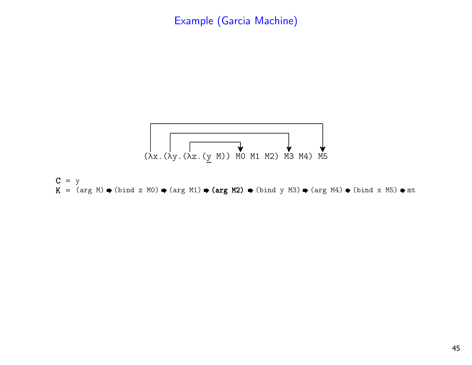

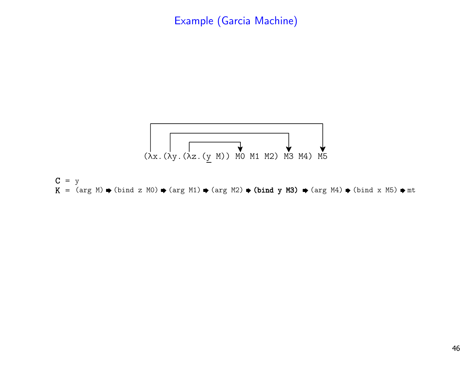

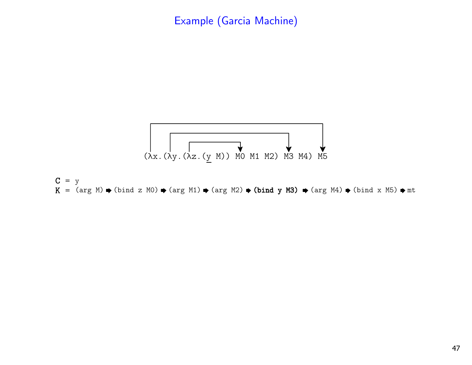

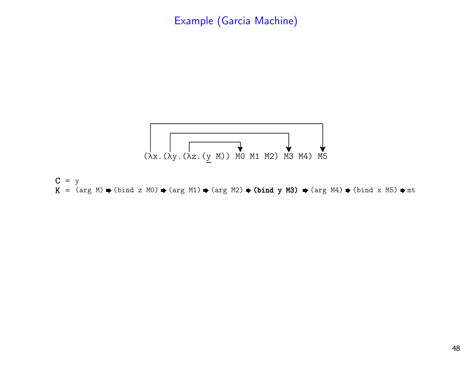

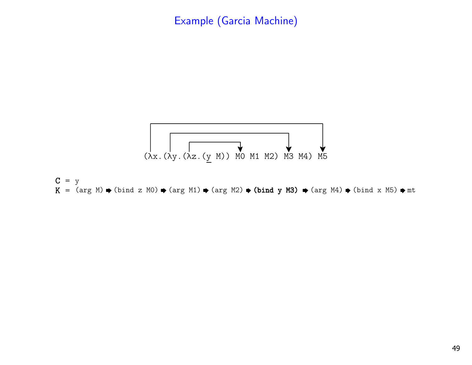

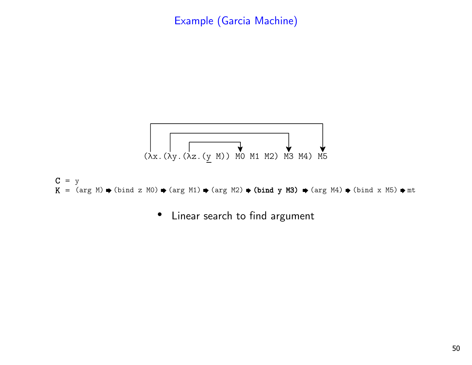



• Linear search to find argument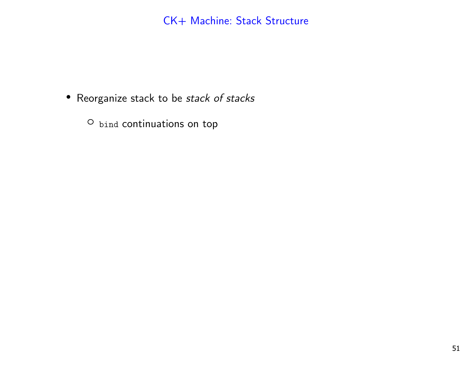- Reorganize stack to be *stack of stacks* 
	- O bind continuations on top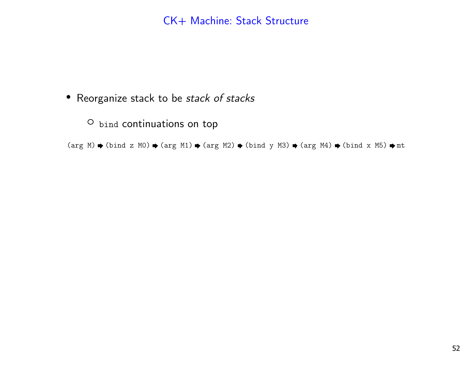• Reorganize stack to be *stack of stacks* 

O bind continuations on top

(arg M)  $\blacklozenge$  (bind z MO)  $\blacklozenge$  (arg M1)  $\blacklozenge$  (arg M2)  $\blacklozenge$  (bind y M3)  $\blacklozenge$  (arg M4)  $\blacklozenge$  (bind x M5)  $\blacklozenge$  mt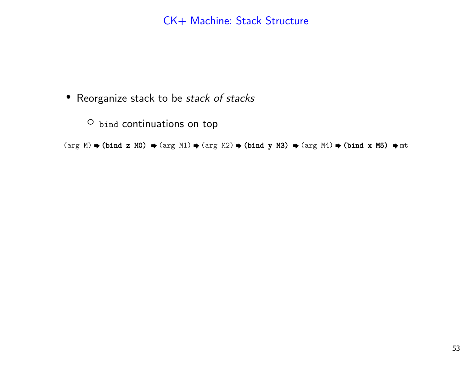• Reorganize stack to be *stack of stacks* 

O bind continuations on top

(arg M)  $\blacklozenge$  (bind z MO)  $\blacklozenge$  (arg M1)  $\blacklozenge$  (arg M2)  $\blacklozenge$  (arg M4)  $\blacklozenge$  (bind x M5)  $\blacklozenge$  mt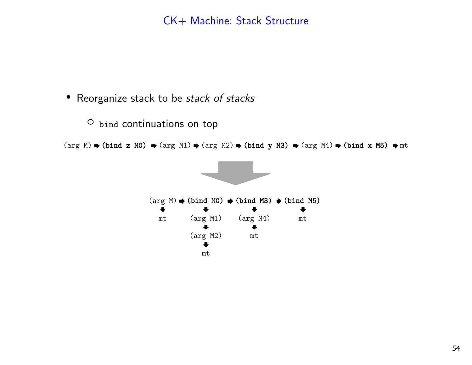• Reorganize stack to be *stack of stacks* 

O bind continuations on top

(arg M)  $\blacklozenge$  (bind z MO)  $\blacklozenge$  (arg M1)  $\blacklozenge$  (arg M2)  $\blacklozenge$  (arg M4)  $\blacklozenge$  (bind x M5)  $\blacklozenge$  mt

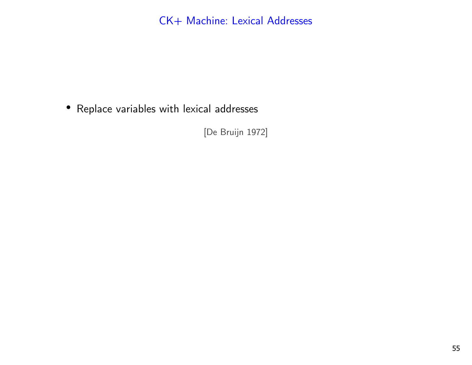• Replace variables with lexical addresses

[De Bruijn 1972]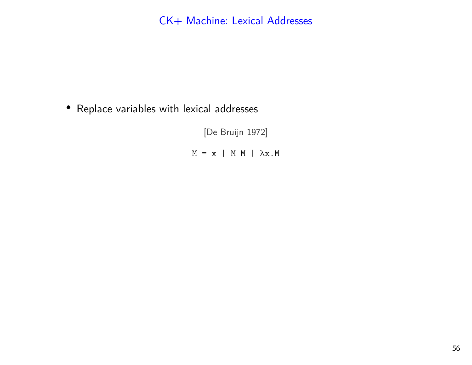• Replace variables with lexical addresses

[De Bruijn 1972]  $M = x$  | M M |  $\lambda x.M$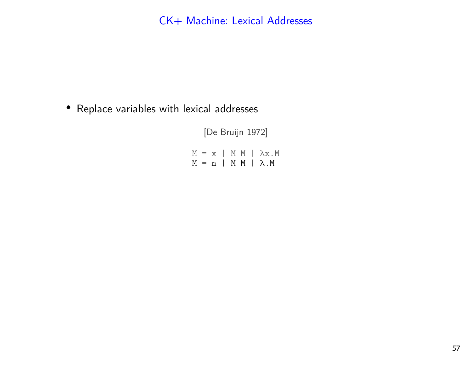• Replace variables with lexical addresses

[De Bruijn 1972]  $M = x$  | M M |  $\lambda x.M$ M = n | M M | λ.M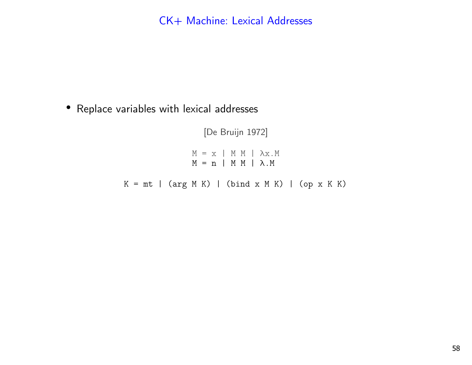• Replace variables with lexical addresses

[De Bruijn 1972]  $M = x$  | M M |  $\lambda x.M$  M = n | M M | λ.M $K = mt$  | (arg M K) | (bind x M K) | (op x K K)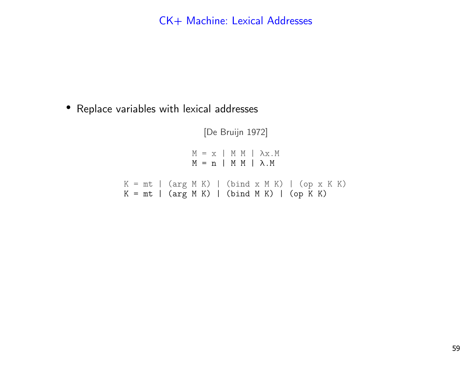• Replace variables with lexical addresses

[De Bruijn 1972]  $M = x$  | M M |  $\lambda x.M$  M = n | M M | λ.M $K = mt$  | (arg M K) | (bind x M K) | (op x K K)  $K = mt$  | (arg M K) | (bind M K) | (op K K)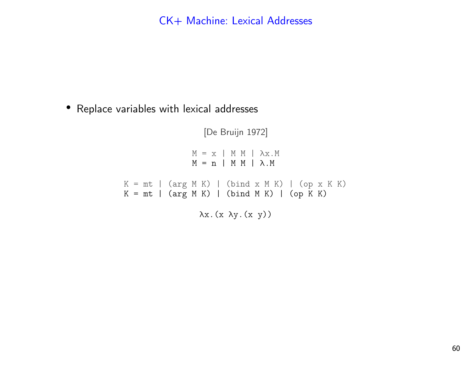• Replace variables with lexical addresses

[De Bruijn 1972]  $M = x$  | M M |  $\lambda x.M$  M = n | M M | λ.M $K = mt$  | (arg M K) | (bind x M K) | (op x K K)  $K = mt$  | (arg M K) | (bind M K) | (op K K) λx.(x λy.(x y))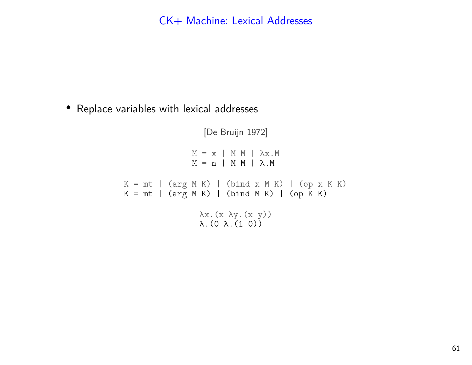• Replace variables with lexical addresses

[De Bruijn 1972] $M = x$  | M M |  $\lambda x.M$  M = n | M M | λ.M $K = mt$  | (arg M K) | (bind x M K) | (op x K K)  $K = mt$  | (arg M K) | (bind M K) | (op  $\overline{K}$  K) λx.(x λy.(x y))λ.(0 λ.(1 0))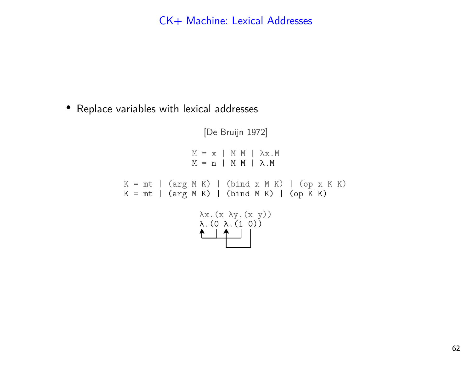• Replace variables with lexical addresses

[De Bruijn 1972]  $M = x$  | M M |  $\lambda x.M$  M = n | M M | λ.M $K = mt$  | (arg M K) | (bind x M K) | (op x K K)  $K = mt$  | (arg M K) | (bind M K) | (op  $K$  K) λx.(x λy.(x y))λ.(0 λ.(1 0))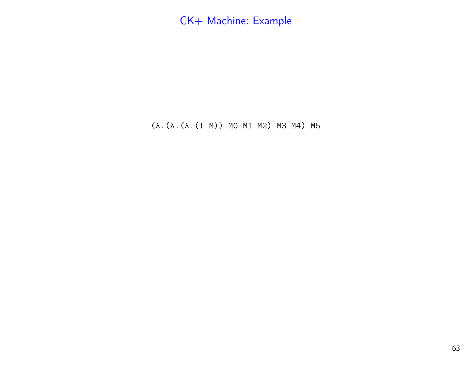(λ.(λ.(λ.(1 M)) M0 M1 M2) M3 M4) M5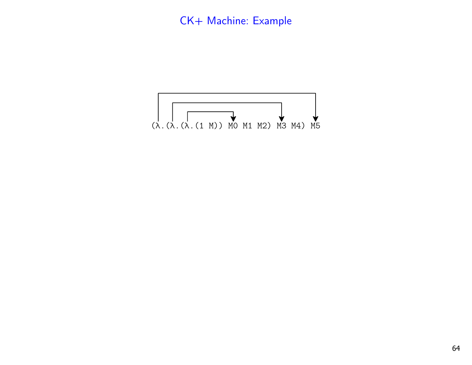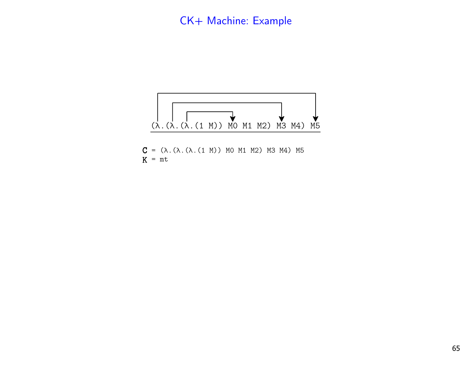

 $C = (λ. (λ. (λ. (1 M)) MO M1 M2) M3 M4) M5$  $K = mt$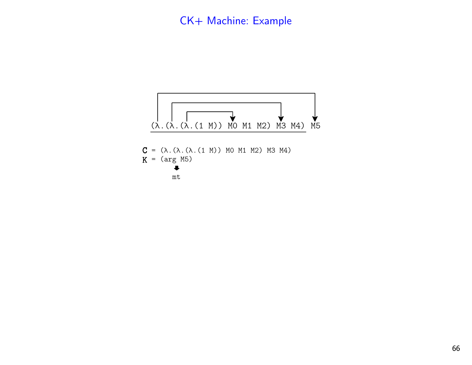

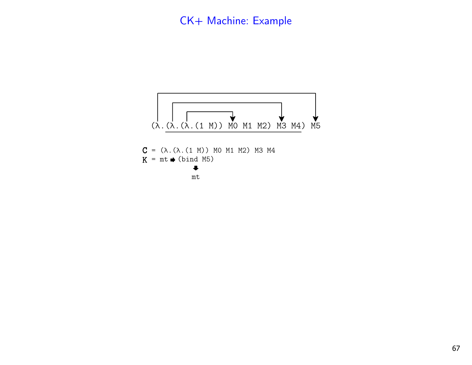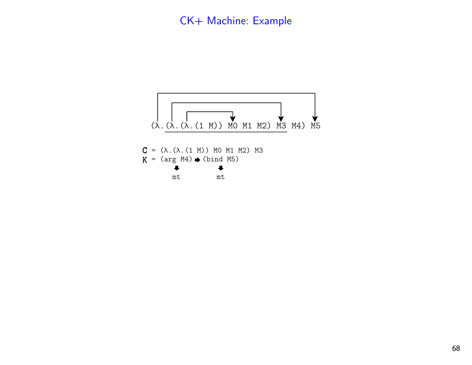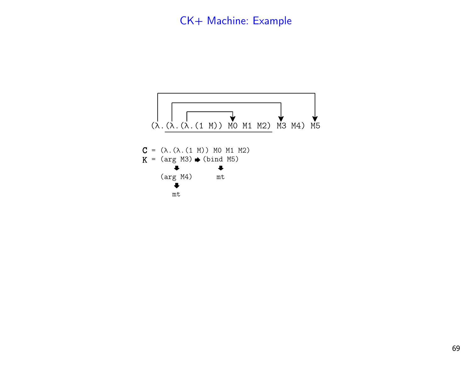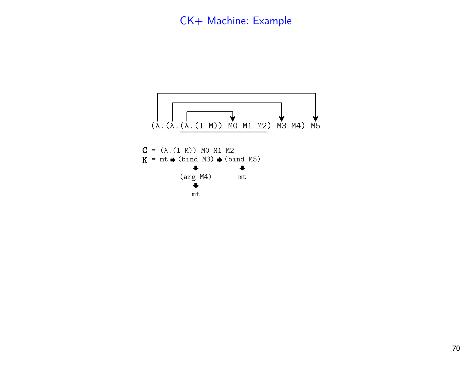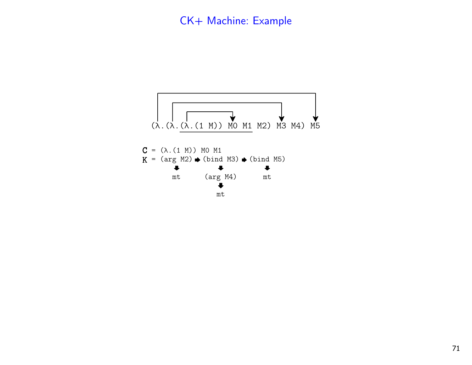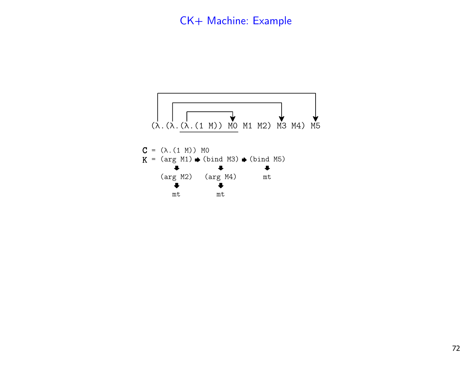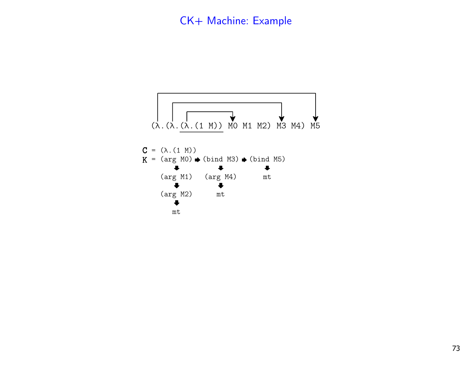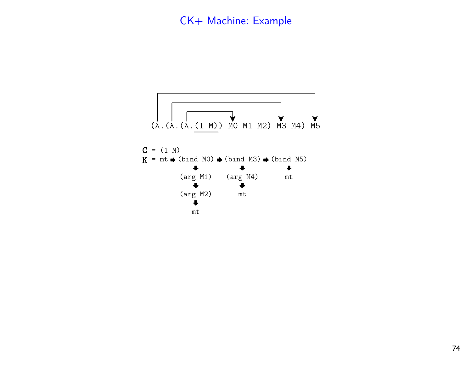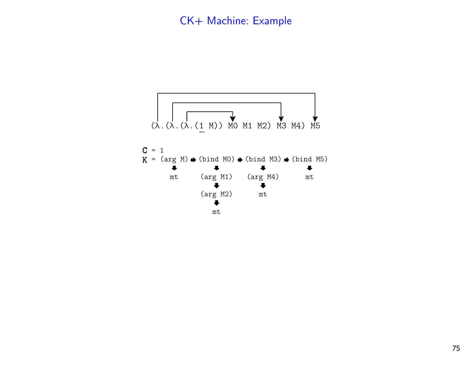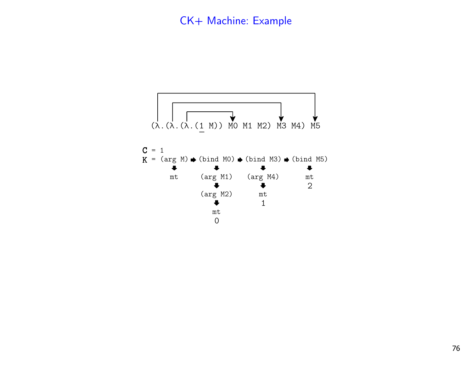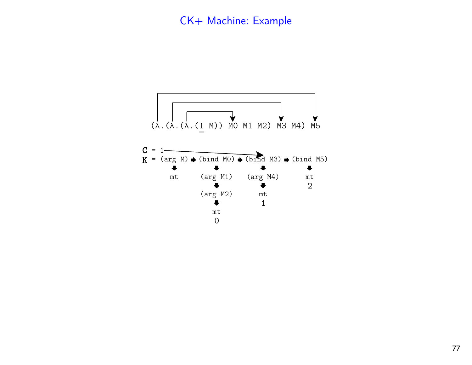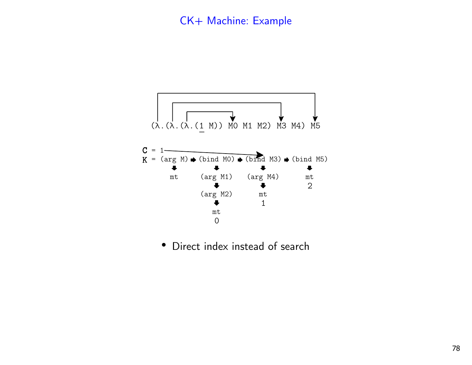

• Direct index instead of search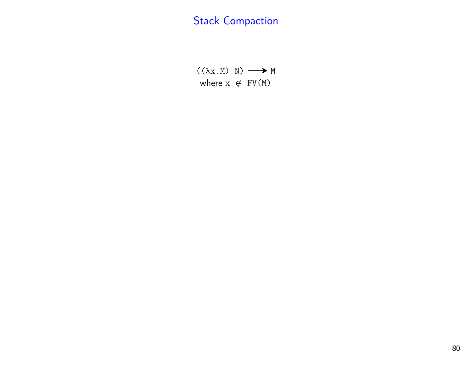$((\lambda x.M) N) \longrightarrow M$ where  $x \notin FV(M)$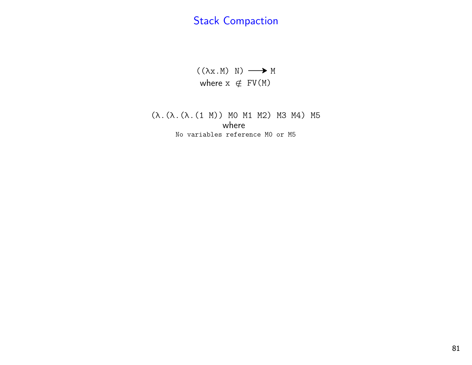$((\lambda x.M) N) \longrightarrow M$ where  $x \notin FV(M)$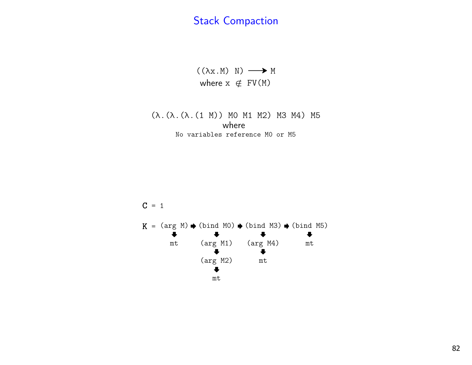$((\lambda x.M) N) \longrightarrow M$ where  $x \notin FV(M)$ 

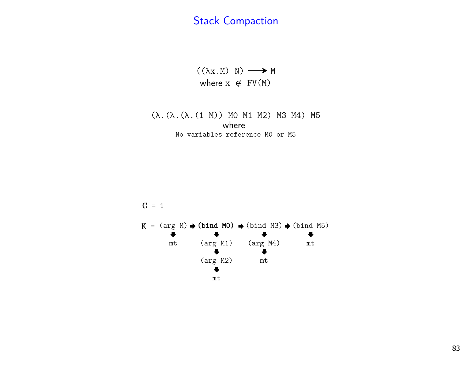$((\lambda x.M) N) \longrightarrow M$ where  $x \notin FV(M)$ 

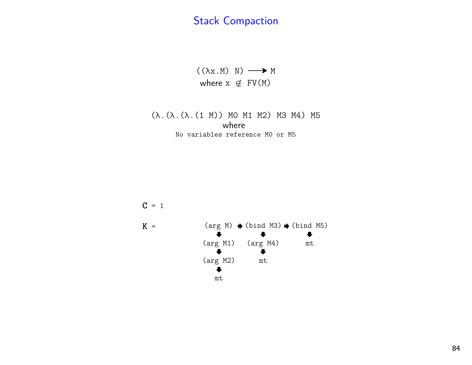$((\lambda x.M) N) \longrightarrow M$ where  $x \notin FV(M)$ 

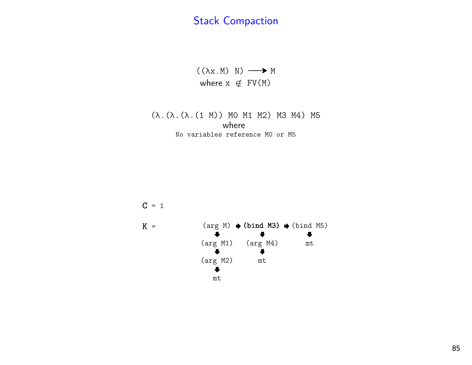$((\lambda x.M) N) \longrightarrow M$ where  $x \notin FV(M)$ 

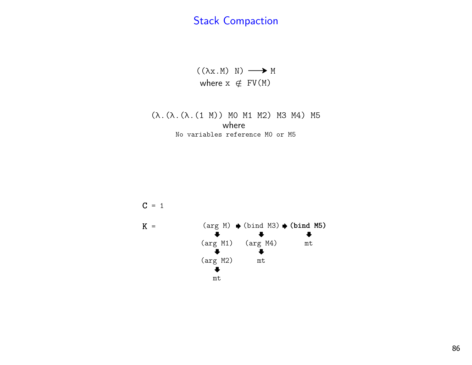$((\lambda x.M) N) \longrightarrow M$ where  $x \notin FV(M)$ 

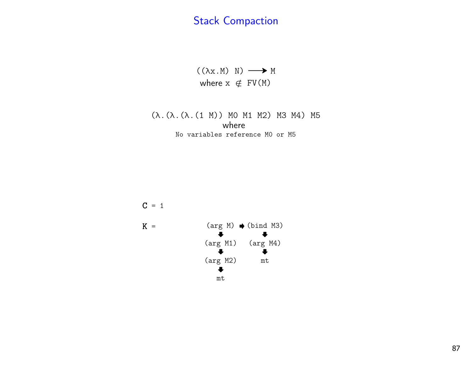$((\lambda x.M) N) \longrightarrow M$ where  $x \notin FV(M)$